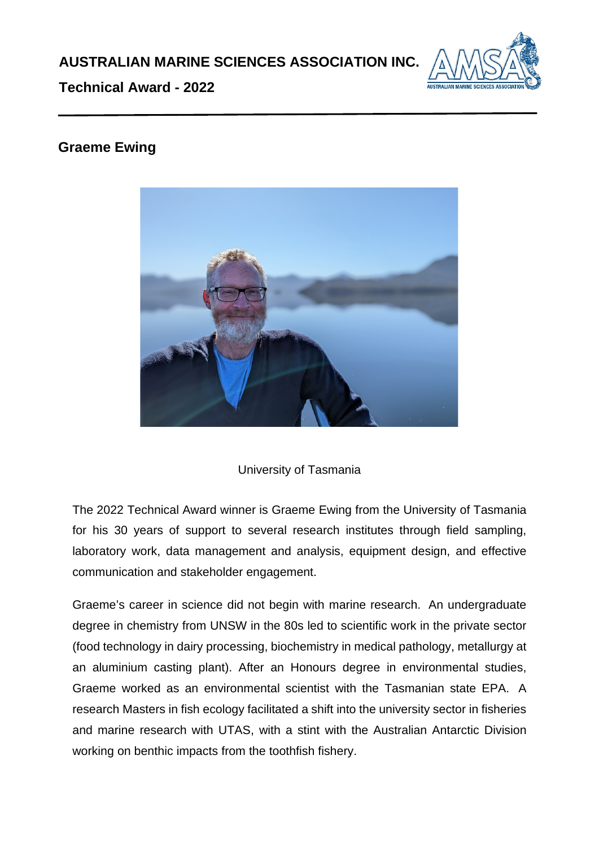

**Technical Award - 2022**

## **Graeme Ewing**



## University of Tasmania

The 2022 Technical Award winner is Graeme Ewing from the University of Tasmania for his 30 years of support to several research institutes through field sampling, laboratory work, data management and analysis, equipment design, and effective communication and stakeholder engagement.

Graeme's career in science did not begin with marine research. An undergraduate degree in chemistry from UNSW in the 80s led to scientific work in the private sector (food technology in dairy processing, biochemistry in medical pathology, metallurgy at an aluminium casting plant). After an Honours degree in environmental studies, Graeme worked as an environmental scientist with the Tasmanian state EPA. A research Masters in fish ecology facilitated a shift into the university sector in fisheries and marine research with UTAS, with a stint with the Australian Antarctic Division working on benthic impacts from the toothfish fishery.